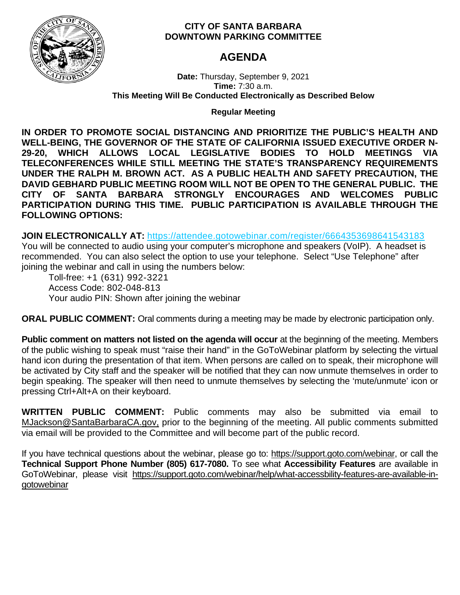

# **CITY OF SANTA BARBARA DOWNTOWN PARKING COMMITTEE**

# **AGENDA**

**Date:** Thursday, September 9, 2021 **Time:** 7:30 a.m. **This Meeting Will Be Conducted Electronically as Described Below**

# **Regular Meeting**

**IN ORDER TO PROMOTE SOCIAL DISTANCING AND PRIORITIZE THE PUBLIC'S HEALTH AND WELL-BEING, THE GOVERNOR OF THE STATE OF CALIFORNIA ISSUED EXECUTIVE ORDER N-29-20, WHICH ALLOWS LOCAL LEGISLATIVE BODIES TO HOLD MEETINGS VIA TELECONFERENCES WHILE STILL MEETING THE STATE'S TRANSPARENCY REQUIREMENTS UNDER THE RALPH M. BROWN ACT. AS A PUBLIC HEALTH AND SAFETY PRECAUTION, THE DAVID GEBHARD PUBLIC MEETING ROOM WILL NOT BE OPEN TO THE GENERAL PUBLIC. THE CITY OF SANTA BARBARA STRONGLY ENCOURAGES AND WELCOMES PUBLIC PARTICIPATION DURING THIS TIME. PUBLIC PARTICIPATION IS AVAILABLE THROUGH THE FOLLOWING OPTIONS:**

**JOIN ELECTRONICALLY AT:** <https://attendee.gotowebinar.com/register/6664353698641543183>

You will be connected to audio using your computer's microphone and speakers (VoIP). A headset is recommended. You can also select the option to use your telephone. Select "Use Telephone" after joining the webinar and call in using the numbers below:

Toll-free: +1 (631) 992-3221 Access Code: 802-048-813 Your audio PIN: Shown after joining the webinar

**ORAL PUBLIC COMMENT:** Oral comments during a meeting may be made by electronic participation only.

**Public comment on matters not listed on the agenda will occur** at the beginning of the meeting. Members of the public wishing to speak must "raise their hand" in the GoToWebinar platform by selecting the virtual hand icon during the presentation of that item. When persons are called on to speak, their microphone will be activated by City staff and the speaker will be notified that they can now unmute themselves in order to begin speaking. The speaker will then need to unmute themselves by selecting the 'mute/unmute' icon or pressing Ctrl+Alt+A on their keyboard.

**WRITTEN PUBLIC COMMENT:** Public comments may also be submitted via email to [MJackson@SantaBarbaraCA.gov,](mailto:MJackson@SantaBarbaraCA.gov) prior to the beginning of the meeting. All public comments submitted via email will be provided to the Committee and will become part of the public record.

If you have technical questions about the webinar, please go to: [https://support.goto.com/webinar,](https://support.goto.com/webinar) or call the **Technical Support Phone Number (805) 617-7080.** To see what **Accessibility Features** are available in GoToWebinar, please visit [https://support.goto.com/webinar/help/what-accessbility-features-are-available-in](https://support.goto.com/webinar/help/what-accessbility-features-are-available-in-gotowebinar)[gotowebinar](https://support.goto.com/webinar/help/what-accessbility-features-are-available-in-gotowebinar)